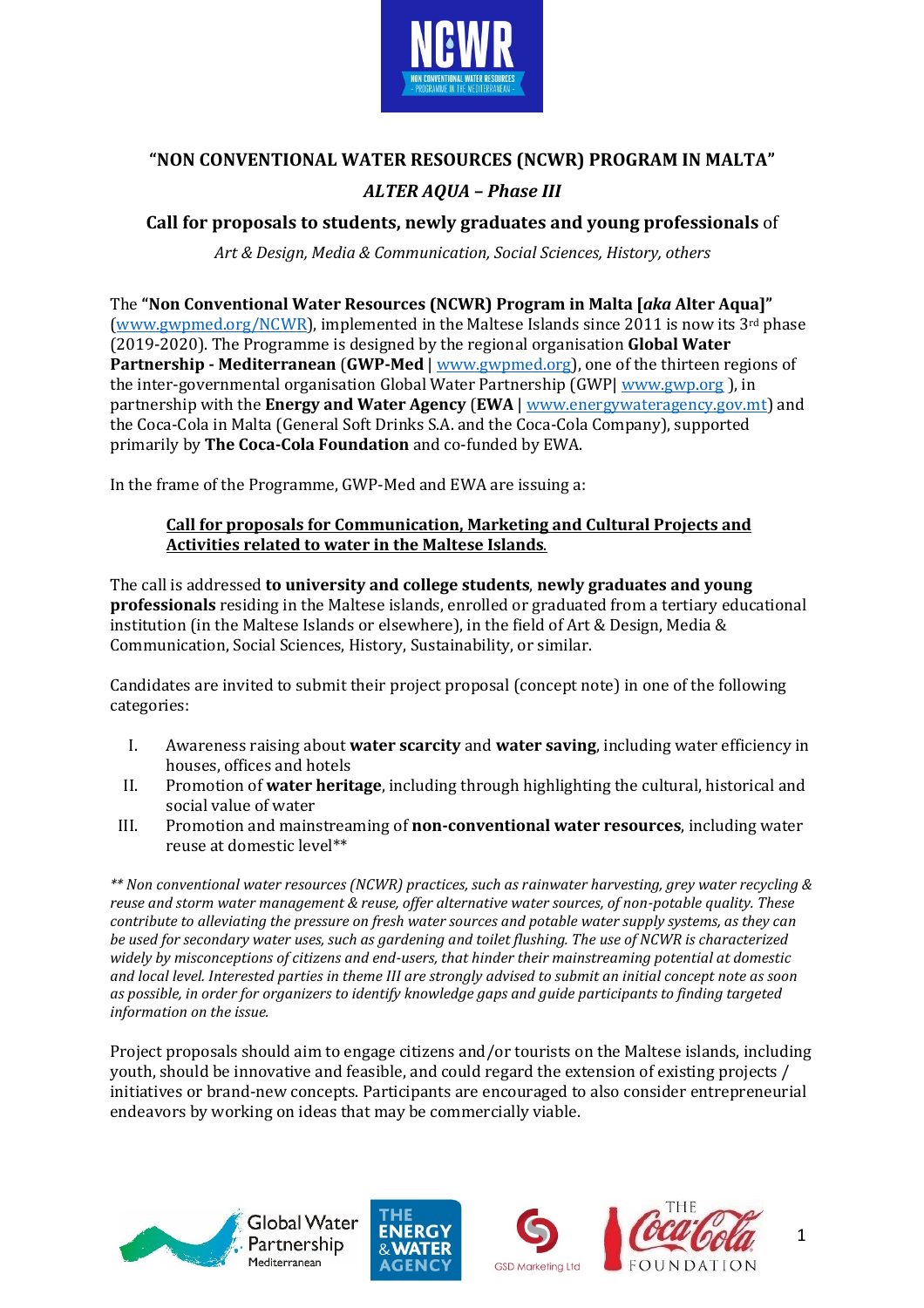

# **"NON CONVENTIONAL WATER RESOURCES (NCWR) PROGRAM IN MALTA"**  *ALTER AQUA – Phase III*

## **Call for proposals to students, newly graduates and young professionals** of

*Art & Design, Media & Communication, Social Sciences, History, others*

The **"Non Conventional Water Resources (NCWR) Program in Malta [***aka* **Alter Aqua]"** [\(www.gwpmed.org/NCWR\)](http://www.gwpmed.org/NCWR), implemented in the Maltese Islands since 2011 is now its 3rd phase (2019-2020). The Programme is designed by the regional organisation **Global Water Partnership - Mediterranean** (**GWP-Med** [| www.gwpmed.org\)](http://www.gwpmed.org/), one of the thirteen regions of the inter-governmental organisation Global Water Partnership (GWP| [www.gwp.org](http://www.gwp.org/) ), in partnership with the **Energy and Water Agency** (**EWA** | [www.energywateragency.gov.mt\)](http://www.energywateragency.gov.mt/) and the Coca-Cola in Malta (General Soft Drinks S.A. and the Coca-Cola Company), supported primarily by **The Coca-Cola Foundation** and co-funded by EWA.

In the frame of the Programme, GWP-Med and EWA are issuing a:

#### **Call for proposals for Communication, Marketing and Cultural Projects and Activities related to water in the Maltese Islands**.

The call is addressed **to university and college students**, **newly graduates and young professionals** residing in the Maltese islands, enrolled or graduated from a tertiary educational institution (in the Maltese Islands or elsewhere), in the field of Art & Design, Media & Communication, Social Sciences, History, Sustainability, or similar.

Candidates are invited to submit their project proposal (concept note) in one of the following categories:

- I. Awareness raising about **water scarcity** and **water saving**, including water efficiency in houses, offices and hotels
- II. Promotion of **water heritage**, including through highlighting the cultural, historical and social value of water
- III. Promotion and mainstreaming of **non-conventional water resources**, including water reuse at domestic level\*\*

*\*\* Non conventional water resources (NCWR) practices, such as rainwater harvesting, grey water recycling & reuse and storm water management & reuse, offer alternative water sources, of non-potable quality. These contribute to alleviating the pressure on fresh water sources and potable water supply systems, as they can be used for secondary water uses, such as gardening and toilet flushing. The use of NCWR is characterized widely by misconceptions of citizens and end-users, that hinder their mainstreaming potential at domestic and local level. Interested parties in theme III are strongly advised to submit an initial concept note as soon as possible, in order for organizers to identify knowledge gaps and guide participants to finding targeted information on the issue.* 

Project proposals should aim to engage citizens and/or tourists on the Maltese islands, including youth, should be innovative and feasible, and could regard the extension of existing projects / initiatives or brand-new concepts. Participants are encouraged to also consider entrepreneurial endeavors by working on ideas that may be commercially viable.









1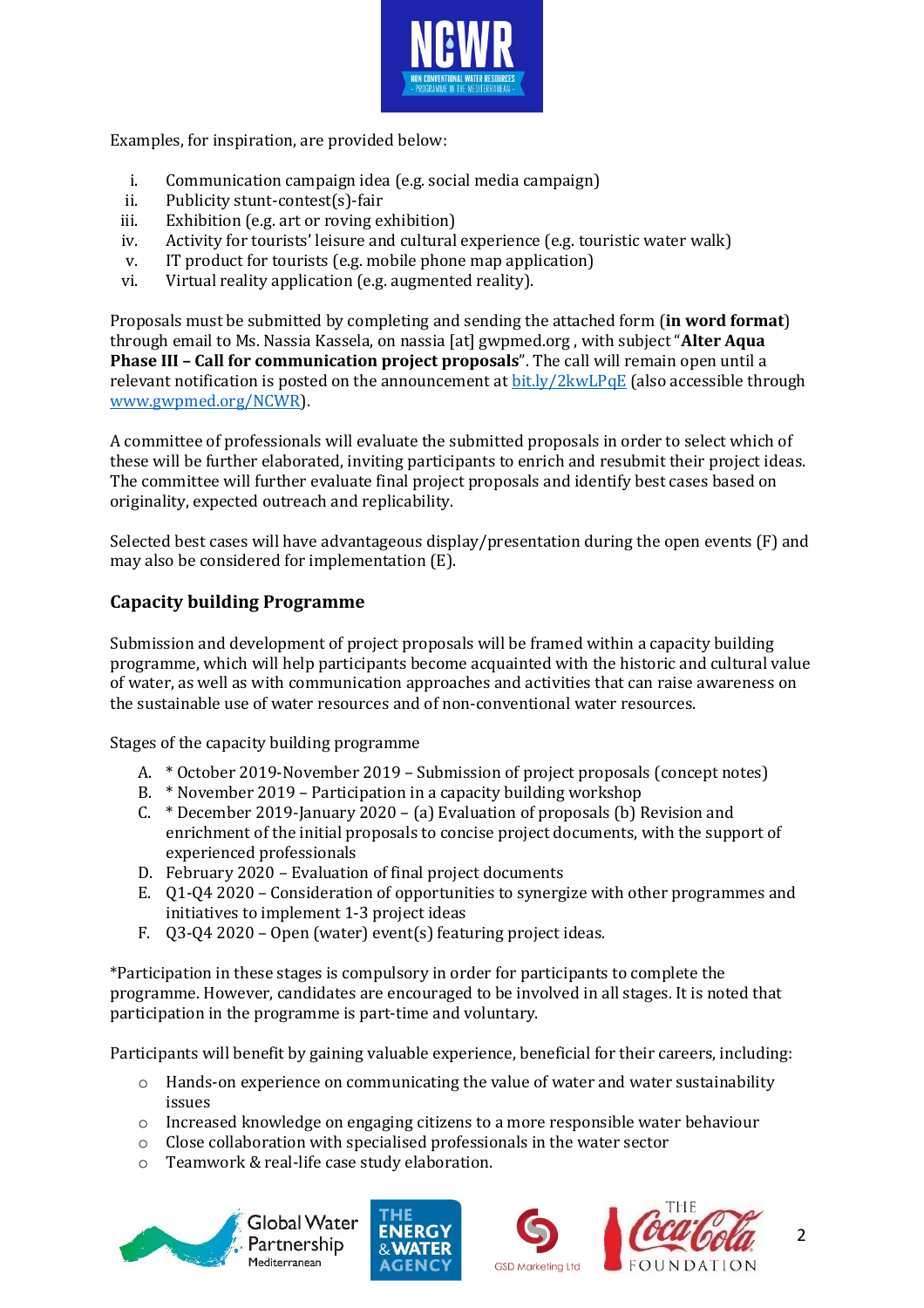

Examples, for inspiration, are provided below:

- i. Communication campaign idea (e.g. social media campaign)
- ii. Publicity stunt-contest(s)-fair
- iii. Exhibition (e.g. art or roving exhibition)
- iv. Activity for tourists' leisure and cultural experience (e.g. touristic water walk)
- v. IT product for tourists (e.g. mobile phone map application)
- vi. Virtual reality application (e.g. augmented reality).

Proposals must be submitted by completing and sending the attached form (**in word format**) through email to Ms. Nassia Kassela, on nassia [at] gwpmed.org , with subject "**Alter Aqua Phase III – Call for communication project proposals**". The call will remain open until a relevant notification is posted on the announcement at **bit.ly/2kwLPqE** (also accessible through [www.gwpmed.org/NCWR\)](http://www.gwpmed.org/NCWR).

A committee of professionals will evaluate the submitted proposals in order to select which of these will be further elaborated, inviting participants to enrich and resubmit their project ideas. The committee will further evaluate final project proposals and identify best cases based on originality, expected outreach and replicability.

Selected best cases will have advantageous display/presentation during the open events (F) and may also be considered for implementation (E).

### **Capacity building Programme**

Submission and development of project proposals will be framed within a capacity building programme, which will help participants become acquainted with the historic and cultural value of water, as well as with communication approaches and activities that can raise awareness on the sustainable use of water resources and of non-conventional water resources.

Stages of the capacity building programme

- A. \* October 2019-November 2019 Submission of project proposals (concept notes)
- B. \* November 2019 Participation in a capacity building workshop
- C. \* December 2019-January 2020 (a) Evaluation of proposals (b) Revision and enrichment of the initial proposals to concise project documents, with the support of experienced professionals
- D. February 2020 Evaluation of final project documents
- E. Q1-Q4 2020 Consideration of opportunities to synergize with other programmes and initiatives to implement 1-3 project ideas
- F. Q3-Q4 2020 Open (water) event(s) featuring project ideas.

\*Participation in these stages is compulsory in order for participants to complete the programme. However, candidates are encouraged to be involved in all stages. It is noted that participation in the programme is part-time and voluntary.

Participants will benefit by gaining valuable experience, beneficial for their careers, including:

- $\circ$  Hands-on experience on communicating the value of water and water sustainability issues
- o Increased knowledge on engaging citizens to a more responsible water behaviour
- o Close collaboration with specialised professionals in the water sector
- o Teamwork & real-life case study elaboration.









2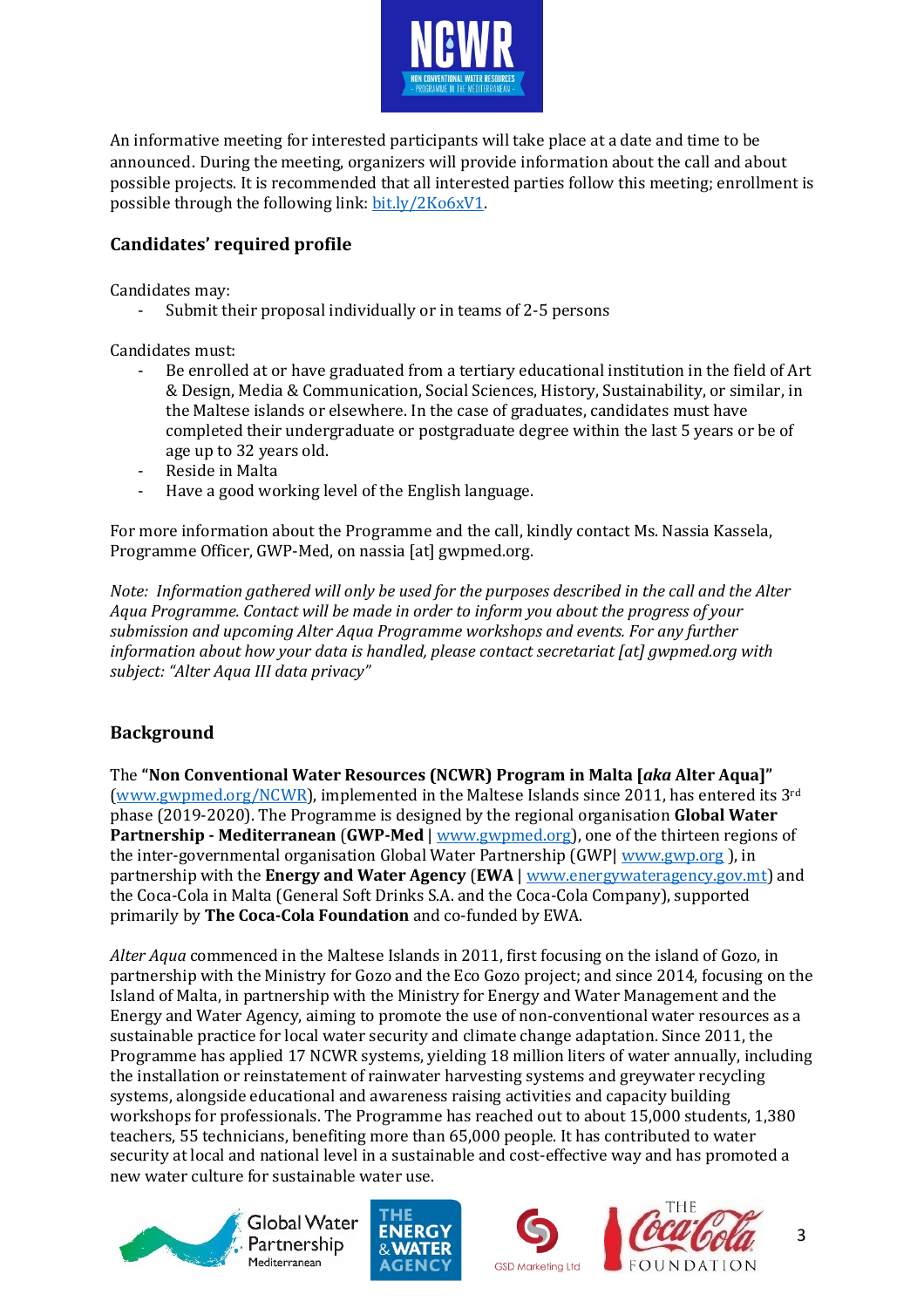

An informative meeting for interested participants will take place at a date and time to be announced. During the meeting, organizers will provide information about the call and about possible projects. It is recommended that all interested parties follow this meeting; enrollment is possible through the following link: [bit.ly/2Ko6xV1.](https://bit.ly/2Ko6xV1)

## **Candidates' required profile**

Candidates may:

Submit their proposal individually or in teams of 2-5 persons

Candidates must:

- Be enrolled at or have graduated from a tertiary educational institution in the field of Art & Design, Media & Communication, Social Sciences, History, Sustainability, or similar, in the Maltese islands or elsewhere. In the case of graduates, candidates must have completed their undergraduate or postgraduate degree within the last 5 years or be of age up to 32 years old.
- Reside in Malta
- Have a good working level of the English language.

For more information about the Programme and the call, kindly contact Ms. Nassia Kassela, Programme Officer, GWP-Med, on nassia [at] gwpmed.org.

*Note: Information gathered will only be used for the purposes described in the call and the Alter Aqua Programme. Contact will be made in order to inform you about the progress of your submission and upcoming Alter Aqua Programme workshops and events. For any further information about how your data is handled, please contact secretariat [at] gwpmed.org with subject: "Alter Aqua III data privacy"*

## **Background**

The **"Non Conventional Water Resources (NCWR) Program in Malta [***aka* **Alter Aqua]"** [\(www.gwpmed.org/NCWR\)](http://www.gwpmed.org/NCWR), implemented in the Maltese Islands since 2011, has entered its 3rd phase (2019-2020). The Programme is designed by the regional organisation **Global Water Partnership - Mediterranean** (**GWP-Med** [| www.gwpmed.org\)](http://www.gwpmed.org/), one of the thirteen regions of the inter-governmental organisation Global Water Partnership (GWP| [www.gwp.org](http://www.gwp.org/)), in partnership with the **Energy and Water Agency** (**EWA** | [www.energywateragency.gov.mt\)](http://www.energywateragency.gov.mt/) and the Coca-Cola in Malta (General Soft Drinks S.A. and the Coca-Cola Company), supported primarily by **The Coca-Cola Foundation** and co-funded by EWA.

*Alter Aqua* commenced in the Maltese Islands in 2011, first focusing on the island of Gozo, in partnership with the Ministry for Gozo and the Eco Gozo project; and since 2014, focusing on the Island of Malta, in partnership with the Ministry for Energy and Water Management and the Energy and Water Agency, aiming to promote the use of non-conventional water resources as a sustainable practice for local water security and climate change adaptation. Since 2011, the Programme has applied 17 NCWR systems, yielding 18 million liters of water annually, including the installation or reinstatement of rainwater harvesting systems and greywater recycling systems, alongside educational and awareness raising activities and capacity building workshops for professionals. The Programme has reached out to about 15,000 students, 1,380 teachers, 55 technicians, benefiting more than 65,000 people. It has contributed to water security at local and national level in a sustainable and cost-effective way and has promoted a new water culture for sustainable water use.



Global Water Partnership Mediterranean







3